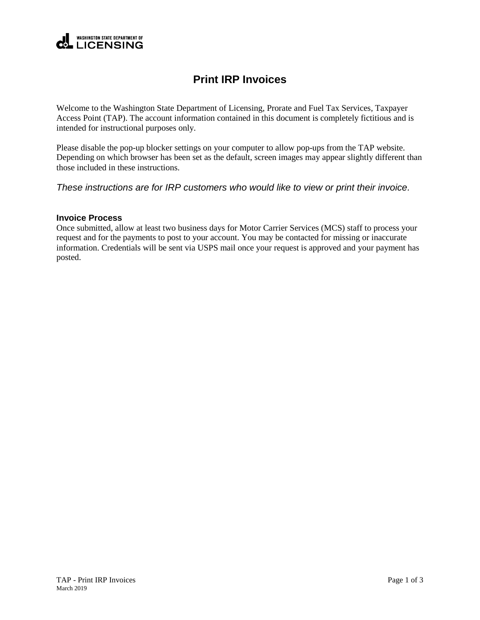

## **Print IRP Invoices**

Welcome to the Washington State Department of Licensing, Prorate and Fuel Tax Services, Taxpayer Access Point (TAP). The account information contained in this document is completely fictitious and is intended for instructional purposes only.

Please disable the pop-up blocker settings on your computer to allow pop-ups from the TAP website. Depending on which browser has been set as the default, screen images may appear slightly different than those included in these instructions.

*These instructions are for IRP customers who would like to view or print their invoice.*

## **Invoice Process**

Once submitted, allow at least two business days for Motor Carrier Services (MCS) staff to process your request and for the payments to post to your account. You may be contacted for missing or inaccurate information. Credentials will be sent via USPS mail once your request is approved and your payment has posted.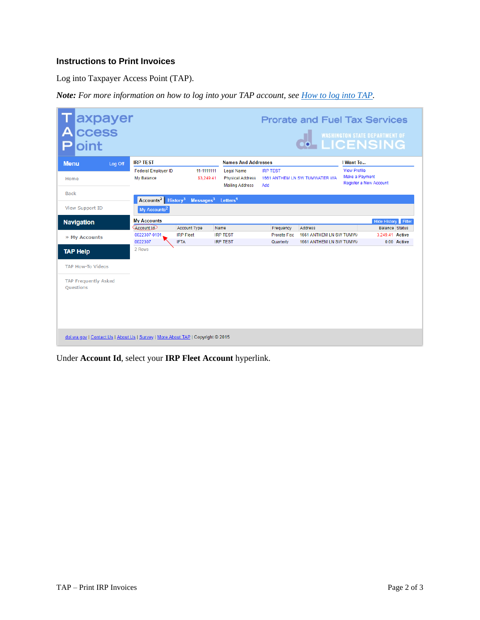## **Instructions to Print Invoices**

Log into Taxpayer Access Point (TAP).

*Note: For more information on how to log into your TAP account, see [How to log into TAP.](http://www.dol.wa.gov/vehicleregistration/docs/TAP-how-to-log-into-tap.pdf)*

| axpayer<br>ccess<br>Δ<br>oint                                                   |                                                                        |                                 |                                                                        |                                  |                                                    |                                       | <b>Prorate and Fuel Tax Services</b><br><b>O MASHINGTON STATE DEPARTMENT OF</b> |
|---------------------------------------------------------------------------------|------------------------------------------------------------------------|---------------------------------|------------------------------------------------------------------------|----------------------------------|----------------------------------------------------|---------------------------------------|---------------------------------------------------------------------------------|
| <b>Menu</b><br>Log Off                                                          | <b>IRP TEST</b>                                                        |                                 | <b>Names And Addresses</b>                                             |                                  | I Want To                                          |                                       |                                                                                 |
| Home                                                                            | <b>Federal Employer ID</b><br>My Balance                               | 11-1111111<br>\$3,249.41        | <b>Legal Name</b><br><b>Physical Address</b><br><b>Mailing Address</b> | <b>IRP TEST</b><br>Add           | 1661 ANTHEM LN SW TUMWATER WA                      | <b>View Profile</b><br>Make a Payment | Register a New Account                                                          |
| <b>Back</b>                                                                     |                                                                        |                                 |                                                                        |                                  |                                                    |                                       |                                                                                 |
| View Support ID                                                                 | Accounts <sup>2</sup> History <sup>3</sup><br>My Accounts <sup>2</sup> | Messages <sup>3</sup>           | Letters <sup>1</sup>                                                   |                                  |                                                    |                                       |                                                                                 |
| <b>Navigation</b>                                                               | <b>My Accounts</b>                                                     |                                 |                                                                        |                                  |                                                    |                                       | <b>Hide History</b> Filter                                                      |
|                                                                                 | Account Id                                                             | <b>Account Type</b>             | Name                                                                   | Frequency                        | <b>Address</b>                                     |                                       | Balance Status                                                                  |
| » My Accounts                                                                   | 0022307-0101<br>0022307                                                | <b>IRP Fleet</b><br><b>IFTA</b> | <b>IRP TEST</b><br><b>IRP TEST</b>                                     | <b>Prorate Fisc</b><br>Quarterly | 1661 ANTHEM LN SW TUMW/<br>1661 ANTHEM LN SW TUMW/ |                                       | 3.249.41 Active<br>0.00 Active                                                  |
| <b>TAP Help</b>                                                                 | 2 Rows                                                                 |                                 |                                                                        |                                  |                                                    |                                       |                                                                                 |
| <b>TAP How-To Videos</b>                                                        |                                                                        |                                 |                                                                        |                                  |                                                    |                                       |                                                                                 |
| <b>TAP Frequently Asked</b><br>Ouestions                                        |                                                                        |                                 |                                                                        |                                  |                                                    |                                       |                                                                                 |
| dol.wa.gov   Contact Us   About Us   Survey   More About TAP   Copyright @ 2015 |                                                                        |                                 |                                                                        |                                  |                                                    |                                       |                                                                                 |

Under **Account Id**, select your **IRP Fleet Account** hyperlink.